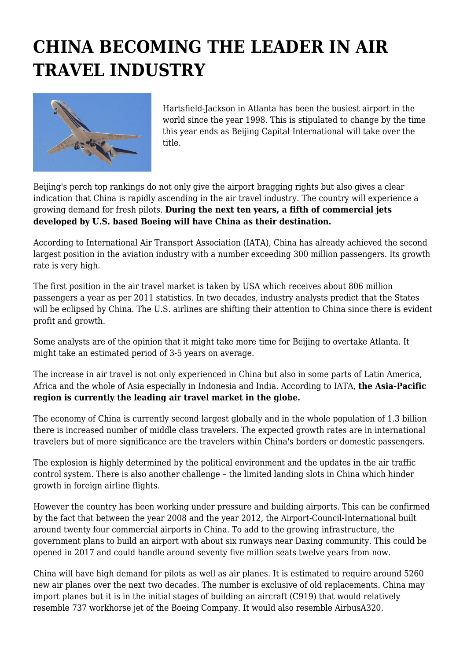## **CHINA BECOMING THE LEADER IN AIR TRAVEL INDUSTRY**



Hartsfield-Jackson in Atlanta has been the busiest airport in the world since the year 1998. This is stipulated to change by the time this year ends as Beijing Capital International will take over the title.

Beijing's perch top rankings do not only give the airport bragging rights but also gives a clear indication that China is rapidly ascending in the air travel industry. The country will experience a growing demand for fresh pilots. **During the next ten years, a fifth of commercial jets developed by U.S. based Boeing will have China as their destination.**

According to International Air Transport Association (IATA), China has already achieved the second largest position in the aviation industry with a number exceeding 300 million passengers. Its growth rate is very high.

The first position in the air travel market is taken by USA which receives about 806 million passengers a year as per 2011 statistics. In two decades, industry analysts predict that the States will be eclipsed by China. The U.S. airlines are shifting their attention to China since there is evident profit and growth.

Some analysts are of the opinion that it might take more time for Beijing to overtake Atlanta. It might take an estimated period of 3-5 years on average.

The increase in air travel is not only experienced in China but also in some parts of Latin America, Africa and the whole of Asia especially in Indonesia and India. According to IATA, **the Asia-Pacific region is currently the leading air travel market in the globe.**

The economy of China is currently second largest globally and in the whole population of 1.3 billion there is increased number of middle class travelers. The expected growth rates are in international travelers but of more significance are the travelers within China's borders or domestic passengers.

The explosion is highly determined by the political environment and the updates in the air traffic control system. There is also another challenge – the limited landing slots in China which hinder growth in foreign airline flights.

However the country has been working under pressure and building airports. This can be confirmed by the fact that between the year 2008 and the year 2012, the Airport-Council-International built around twenty four commercial airports in China. To add to the growing infrastructure, the government plans to build an airport with about six runways near Daxing community. This could be opened in 2017 and could handle around seventy five million seats twelve years from now.

China will have high demand for pilots as well as air planes. It is estimated to require around 5260 new air planes over the next two decades. The number is exclusive of old replacements. China may import planes but it is in the initial stages of building an aircraft (C919) that would relatively resemble 737 workhorse jet of the Boeing Company. It would also resemble AirbusA320.